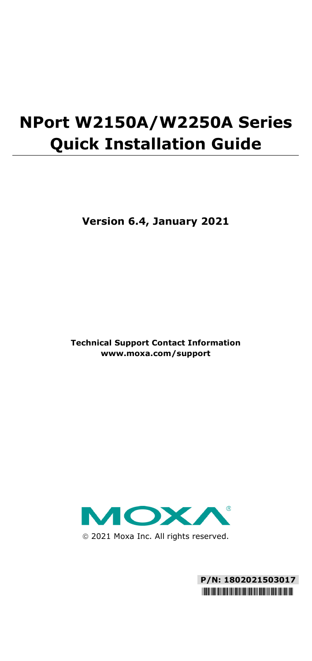# **NPort W2150A/W2250A Series Quick Installation Guide**

**Version 6.4, January 2021**

**Technical Support Contact Information www.moxa.com/support**



2021 Moxa Inc. All rights reserved.

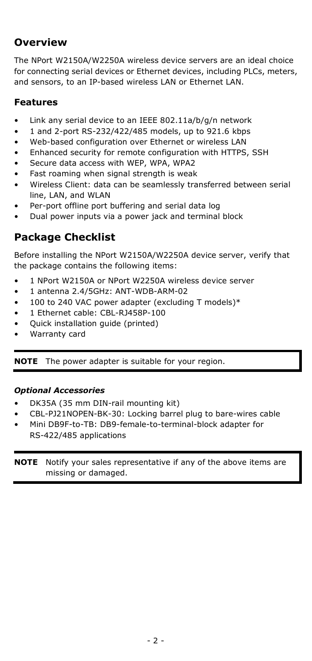## **Overview**

The NPort W2150A/W2250A wireless device servers are an ideal choice for connecting serial devices or Ethernet devices, including PLCs, meters, and sensors, to an IP-based wireless LAN or Ethernet LAN.

## **Features**

- Link any serial device to an IEEE 802.11a/b/g/n network
- 1 and 2-port RS-232/422/485 models, up to 921.6 kbps
- Web-based configuration over Ethernet or wireless LAN
- Enhanced security for remote configuration with HTTPS, SSH
- Secure data access with WEP, WPA, WPA2
- Fast roaming when signal strength is weak
- Wireless Client: data can be seamlessly transferred between serial line, LAN, and WLAN
- Per-port offline port buffering and serial data log
- Dual power inputs via a power jack and terminal block

## **Package Checklist**

Before installing the NPort W2150A/W2250A device server, verify that the package contains the following items:

- 1 NPort W2150A or NPort W2250A wireless device server
- 1 antenna 2.4/5GHz: ANT-WDB-ARM-02
- 100 to 240 VAC power adapter (excluding T models)\*
- 1 Ethernet cable: CBL-RJ458P-100
- Quick installation guide (printed)
- Warranty card

**NOTE** The power adapter is suitable for your region.

### *Optional Accessories*

- DK35A (35 mm DIN-rail mounting kit)
- CBL-PJ21NOPEN-BK-30: Locking barrel plug to bare-wires cable
- Mini DB9F-to-TB: DB9-female-to-terminal-block adapter for RS-422/485 applications

**NOTE** Notify your sales representative if any of the above items are missing or damaged.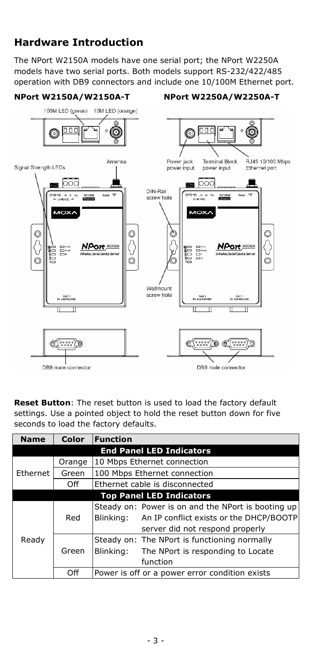## **Hardware Introduction**

The NPort W2150A models have one serial port; the NPort W2250A models have two serial ports. Both models support RS-232/422/485 operation with DB9 connectors and include one 10/100M Ethernet port.

#### **NPort W2150A/W2150A-T NPort W2250A/W2250A-T**



**Reset Button**: The reset button is used to load the factory default settings. Use a pointed object to hold the reset button down for five seconds to load the factory defaults.

| <b>Name</b>                     | Color  | <b>Function</b>                                                                                            |  |  |  |  |
|---------------------------------|--------|------------------------------------------------------------------------------------------------------------|--|--|--|--|
| <b>End Panel LED Indicators</b> |        |                                                                                                            |  |  |  |  |
| Ethernet                        | Orange | 10 Mbps Ethernet connection                                                                                |  |  |  |  |
|                                 | Green  | 100 Mbps Ethernet connection                                                                               |  |  |  |  |
|                                 | Off    | Ethernet cable is disconnected                                                                             |  |  |  |  |
| <b>Top Panel LED Indicators</b> |        |                                                                                                            |  |  |  |  |
| Ready                           | Red    | Steady on: Power is on and the NPort is booting up<br>An IP conflict exists or the DHCP/BOOTP<br>Blinking: |  |  |  |  |
|                                 |        | server did not respond properly                                                                            |  |  |  |  |
|                                 | Green  | Steady on: The NPort is functioning normally                                                               |  |  |  |  |
|                                 |        | Blinking:<br>The NPort is responding to Locate                                                             |  |  |  |  |
|                                 |        | function                                                                                                   |  |  |  |  |
|                                 | Off    | Power is off or a power error condition exists                                                             |  |  |  |  |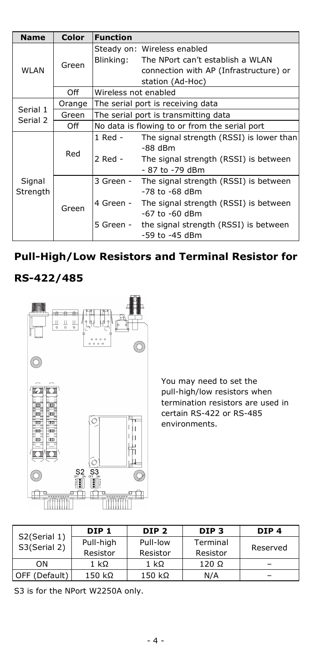| <b>Name</b>          | Color  | <b>Function</b>                               |                                          |  |
|----------------------|--------|-----------------------------------------------|------------------------------------------|--|
| <b>WLAN</b>          | Green  |                                               | Steady on: Wireless enabled              |  |
|                      |        | Blinking:                                     | The NPort can't establish a WLAN         |  |
|                      |        |                                               | connection with AP (Infrastructure) or   |  |
|                      |        |                                               | station (Ad-Hoc)                         |  |
|                      | Off    | Wireless not enabled                          |                                          |  |
| Serial 1<br>Serial 2 | Orange | The serial port is receiving data             |                                          |  |
|                      | Green  | The serial port is transmitting data          |                                          |  |
|                      | Off    | No data is flowing to or from the serial port |                                          |  |
| Signal<br>Strength   | Red    | 1 Red -                                       | The signal strength (RSSI) is lower than |  |
|                      |        |                                               | $-88$ dBm                                |  |
|                      |        | 2 Red -                                       | The signal strength (RSSI) is between    |  |
|                      |        |                                               | - 87 to -79 dBm                          |  |
|                      | Green  | 3 Green -                                     | The signal strength (RSSI) is between    |  |
|                      |        |                                               | -78 to -68 dBm                           |  |
|                      |        | 4 Green -                                     | The signal strength (RSSI) is between    |  |
|                      |        |                                               | -67 to -60 dBm                           |  |
|                      |        | 5 Green -                                     | the signal strength (RSSI) is between    |  |
|                      |        |                                               | -59 to -45 dBm                           |  |

## **Pull-High/Low Resistors and Terminal Resistor for**

## **RS-422/485**



You may need to set the pull-high/low resistors when termination resistors are used in certain RS-422 or RS-485 environments.

| S2(Serial 1)  | DIP <sub>1</sub>      | DIP <sub>2</sub>     | DIP <sub>3</sub>     | DIP <sub>4</sub> |
|---------------|-----------------------|----------------------|----------------------|------------------|
| S3(Serial 2)  | Pull-high<br>Resistor | Pull-low<br>Resistor | Terminal<br>Resistor | Reserved         |
| OΝ            | 1 kΩ                  | 1 k $\Omega$         | $120 \Omega$         |                  |
| OFF (Default) | 150 kΩ                | $150$ kΩ             | N/A                  |                  |

S3 is for the NPort W2250A only.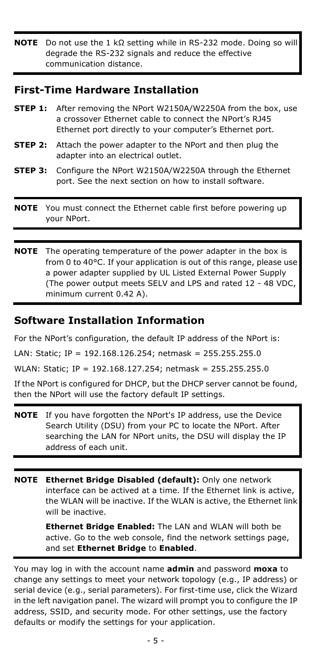**NOTE** Do not use the 1 kΩ setting while in RS-232 mode. Doing so will degrade the RS-232 signals and reduce the effective communication distance.

## **First-Time Hardware Installation**

|         | <b>STEP 1:</b> After removing the NPort W2150A/W2250A from the box, use<br>a crossover Ethernet cable to connect the NPort's RJ45<br>Ethernet port directly to your computer's Ethernet port. |
|---------|-----------------------------------------------------------------------------------------------------------------------------------------------------------------------------------------------|
| STEP 2: | Attach the power adapter to the NPort and then plug the<br>adapter into an electrical outlet.                                                                                                 |
| STEP 3: | Configure the NPort W2150A/W2250A through the Ethernet<br>port. See the next section on how to install software.                                                                              |
|         | <b>NOTE</b> You must connect the Ethernet cable first before powering up<br>vour NPort.                                                                                                       |

**NOTE** The operating temperature of the power adapter in the box is from 0 to 40°C. If your application is out of this range, please use a power adapter supplied by UL Listed External Power Supply (The power output meets SELV and LPS and rated 12 - 48 VDC, minimum current 0.42 A).

## **Software Installation Information**

For the NPort's configuration, the default IP address of the NPort is:

LAN: Static; IP = 192.168.126.254; netmask = 255.255.255.0

WLAN: Static; IP = 192.168.127.254; netmask = 255.255.255.0

If the NPort is configured for DHCP, but the DHCP server cannot be found, then the NPort will use the factory default IP settings.

- **NOTE** If you have forgotten the NPort's IP address, use the Device Search Utility (DSU) from your PC to locate the NPort. After searching the LAN for NPort units, the DSU will display the IP address of each unit.
- **NOTE Ethernet Bridge Disabled (default):** Only one network interface can be actived at a time. If the Ethernet link is active, the WLAN will be inactive. If the WLAN is active, the Ethernet link will be inactive.

**Ethernet Bridge Enabled:** The LAN and WLAN will both be active. Go to the web console, find the network settings page, and set **Ethernet Bridge** to **Enabled**.

You may log in with the account name **admin** and password **moxa** to change any settings to meet your network topology (e.g., IP address) or serial device (e.g., serial parameters). For first-time use, click the Wizard in the left navigation panel. The wizard will prompt you to configure the IP address, SSID, and security mode. For other settings, use the factory defaults or modify the settings for your application.